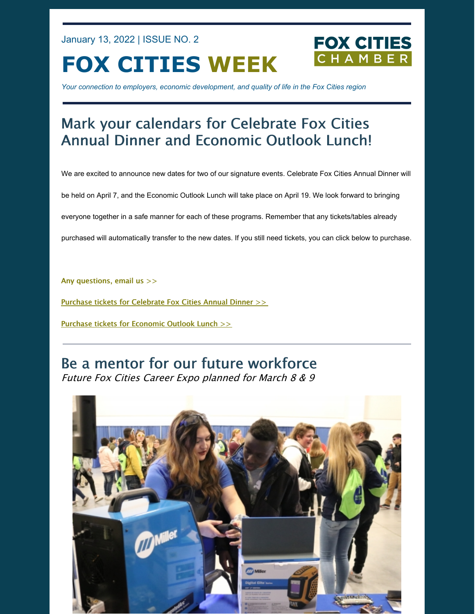January 13, 2022 | ISSUE NO. 2

**FOX CITIES WEEK**

**FOX CITIES** 

*Your connection to employers, economic development, and quality of life in the Fox Cities region*

# Mark your calendars for Celebrate Fox Cities Annual Dinner and Economic Outlook Lunch!

We are excited to announce new dates for two of our signature events. Celebrate Fox Cities Annual Dinner will

be held on April 7, and the Economic Outlook Lunch will take place on April 19. We look forward to bringing

everyone together in a safe manner for each of these programs. Remember that any tickets/tables already

purchased will automatically transfer to the new dates. If you still need tickets, you can click below to purchase.

Any [questions,](mailto:info@foxcitieschamber.com) email us >>

Purchase tickets for [Celebrate](https://business.foxcitieschamber.com/events/details/celebrate-fox-cities-annual-dinner-17275) Fox Cities Annual Dinner >>

Purchase tickets for [Economic](https://business.foxcitieschamber.com/events/details/2022-economic-outlook-lunch-17239) Outlook Lunch >>

### Be a mentor for our future workforce Future Fox Cities Career Expo planned for March 8 & 9

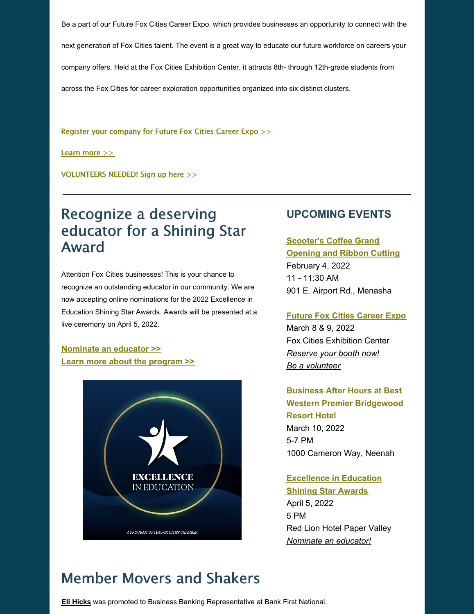Be a part of our Future Fox Cities Career Expo, which provides businesses an opportunity to connect with the next generation of Fox Cities talent. The event is a great way to educate our future workforce on careers your company offers. Held at the Fox Cities Exhibition Center, it attracts 8th- through 12th-grade students from across the Fox Cities for career exploration opportunities organized into six distinct clusters.

Register your [company](https://form.jotform.com/212994274213154) for Future Fox Cities Career Expo >>

[Learn](https://foxcitieschamber.com/talent/future-fox-cities-fox-cities-chamber/) more >>

[VOLUNTEERS](https://form.jotform.com/212994739819172) NEEDED! Sign up here >>

## Recognize a deserving educator for a Shining Star Award

Attention Fox Cities businesses! This is your chance to recognize an outstanding educator in our community. We are now accepting online nominations for the 2022 Excellence in Education Shining Star Awards. Awards will be presented at a live ceremony on April 5, 2022.

**[Nominate](https://form.jotform.com/213205214034135) an educator >> Learn more about the [program](https://foxcitieschamber.com/talent/excellence-in-education-awards-fox-cities-chamber/) >>**



#### **UPCOMING EVENTS**

### **[Scooter's](https://business.foxcitieschamber.com/events/details/scooter-s-coffee-grand-opening-and-ribbon-cutting-17440) Coffee Grand Opening and Ribbon Cutting** February 4, 2022 11 - 11:30 AM 901 E. Airport Rd., Menasha

**Future Fox Cities [Career](https://foxcitieschamber.com/talent/future-fox-cities-fox-cities-chamber/) Expo**

March 8 & 9, 2022 Fox Cities Exhibition Center *[Reserve](https://form.jotform.com/212994274213154) your booth now! Be a [volunteer](https://form.jotform.com/212994739819172)*

**Business After Hours at Best Western Premier Bridgewood Resort Hotel** March 10, 2022 5-7 PM 1000 Cameron Way, Neenah

### **[Excellence](https://foxcitieschamber.com/talent/excellence-in-education-awards-fox-cities-chamber/) in Education Shining Star Awards** April 5, 2022 5 PM Red Lion Hotel Paper Valley *[Nominate](https://form.jotform.com/213205214034135) an educator!*

## Member Movers and Shakers

**Eli [Hicks](https://foxcitieschamber.com/news/2022/01/12/member-news/eli-hicks-promoted-to-business-banking-representative-at-bank-first/)** was promoted to Business Banking Representative at Bank First National.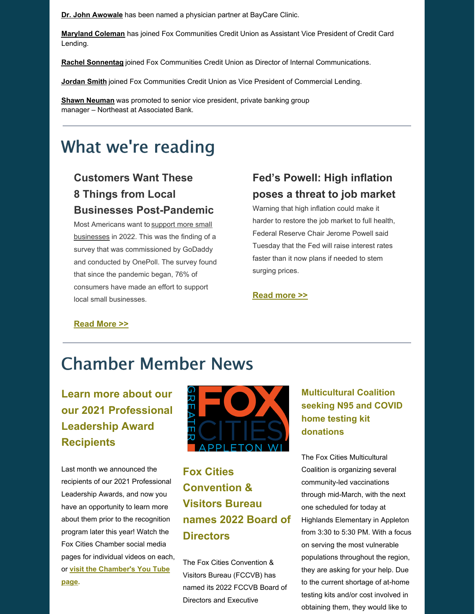**Dr. John [Awowale](https://foxcitieschamber.com/news/2022/01/12/member-news/awowale-named-partner-at-baycare-clinic/)** has been named a physician partner at BayCare Clinic.

**[Maryland](https://foxcitieschamber.com/news/2022/01/12/member-news/fox-communities-credit-union-welcomes-maryland-coleman/) Coleman** has joined Fox Communities Credit Union as Assistant Vice President of Credit Card Lending.

**Rachel [Sonnentag](https://foxcitieschamber.com/news/2022/01/12/member-news/fox-communities-credit-union-welcomes-rachel-sonnentag-as-director-of-internal-communications/)** joined Fox Communities Credit Union as Director of Internal Communications.

**[Jordan](https://foxcitieschamber.com/news/2022/01/12/member-news/fox-communities-credit-union-welcomes-jordan-smith-as-vice-president-of-commercial-lending/) Smith** joined Fox Communities Credit Union as Vice President of Commercial Lending.

**Shawn [Neuman](https://foxcitieschamber.com/news/2022/01/12/member-news/associated-bank-announces-the-promotion-of-shawn-neuman/)** was promoted to senior vice president, private banking group manager – Northeast at Associated Bank.

# What we're reading

## **Customers Want These 8 Things from Local Businesses Post-Pandemic**

Most Americans want to support more small [businesses](https://smallbiztrends.com/2020/09/sykes-local-shopping-survey.html) in 2022. This was the finding of a survey that was commissioned by GoDaddy and conducted by OnePoll. The survey found that since the pandemic began, 76% of consumers have made an effort to support local small businesses.

### **Fed's Powell: High inflation poses a threat to job market**

Warning that high inflation could make it harder to restore the job market to full health, Federal Reserve Chair Jerome Powell said Tuesday that the Fed will raise interest rates faster than it now plans if needed to stem surging prices.

#### **[Read](https://apnews.com/article/joe-biden-business-prices-inflation-jerome-powell-9521329e7a977c78f7765784112e5c63) more >>**

#### **[Read](https://smallbiztrends.com/2022/01/what-consumers-want-from-local-small-businesses-post-covid-pandemic.html) More >>**

# Chamber Member News

## **Learn more about our our 2021 Professional Leadership Award Recipients**

Last month we announced the recipients of our 2021 Professional Leadership Awards, and now you have an opportunity to learn more about them prior to the recognition program later this year! Watch the Fox Cities Chamber social media pages for individual videos on each, or **visit the [Chamber's](https://www.youtube.com/channel/UC5W59O8oVqIo3KZM9Gx3b0A) You Tube page.**



## **Fox Cities Convention & Visitors Bureau names 2022 Board of Directors**

The Fox Cities Convention & Visitors Bureau (FCCVB) has named its 2022 FCCVB Board of Directors and Executive

### **Multicultural Coalition seeking N95 and COVID home testing kit donations**

The Fox Cities Multicultural Coalition is organizing several community-led vaccinations through mid-March, with the next one scheduled for today at Highlands Elementary in Appleton from 3:30 to 5:30 PM. With a focus on serving the most vulnerable populations throughout the region, they are asking for your help. Due to the current shortage of at-home testing kits and/or cost involved in obtaining them, they would like to